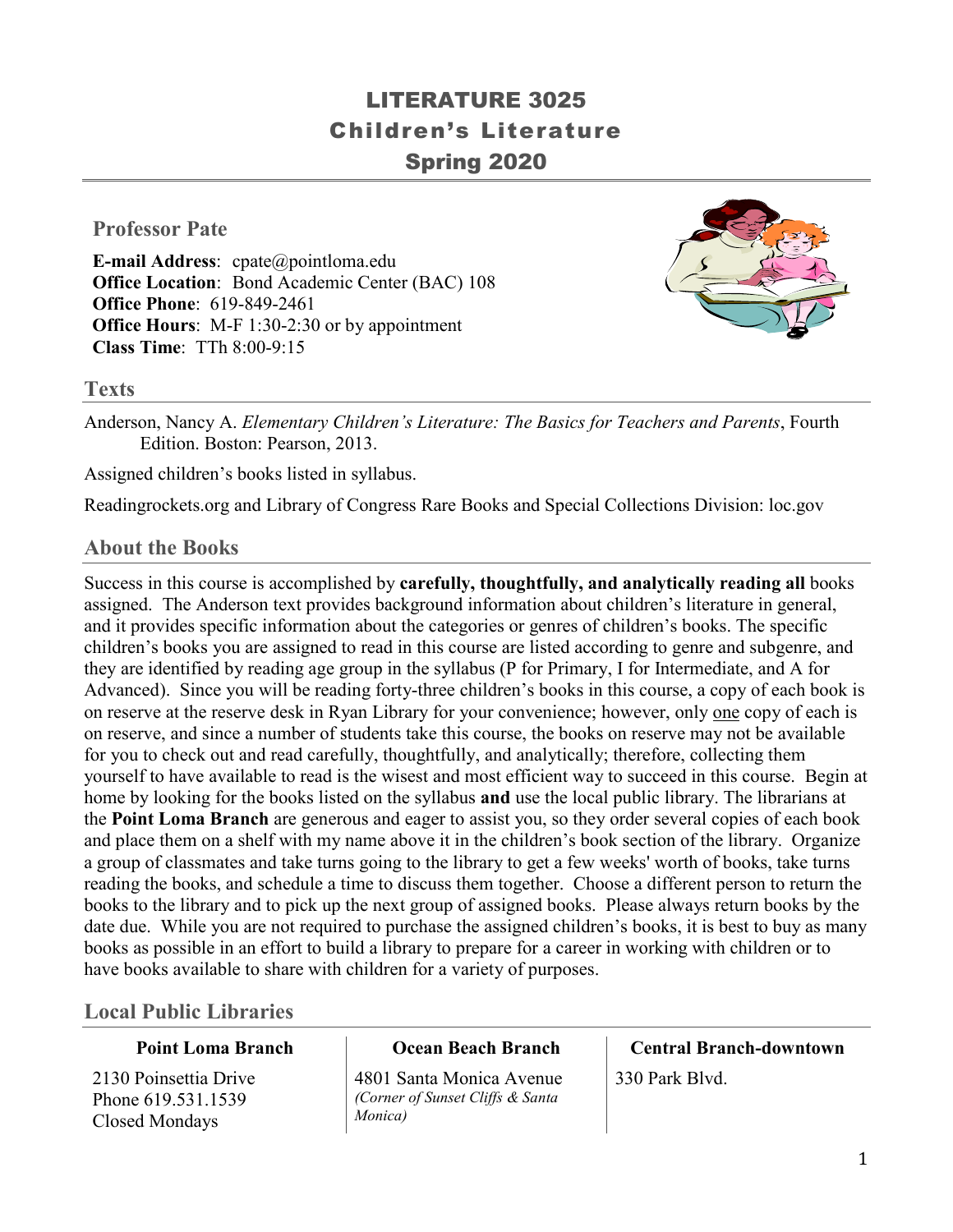# LITERATURE 3025 Children's Literature Spring 2020

### **Professor Pate**

**E-mail Address**: cpate@pointloma.edu **Office Location**: Bond Academic Center (BAC) 108 **Office Phone**: 619-849-2461 **Office Hours**: M-F 1:30-2:30 or by appointment **Class Time**: TTh 8:00-9:15



**Texts**

Anderson, Nancy A. *Elementary Children's Literature: The Basics for Teachers and Parents*, Fourth Edition. Boston: Pearson, 2013.

Assigned children's books listed in syllabus.

Readingrockets.org and Library of Congress Rare Books and Special Collections Division: loc.gov

#### **About the Books**

Success in this course is accomplished by **carefully, thoughtfully, and analytically reading all** books assigned. The Anderson text provides background information about children's literature in general, and it provides specific information about the categories or genres of children's books. The specific children's books you are assigned to read in this course are listed according to genre and subgenre, and they are identified by reading age group in the syllabus (P for Primary, I for Intermediate, and A for Advanced). Since you will be reading forty-three children's books in this course, a copy of each book is on reserve at the reserve desk in Ryan Library for your convenience; however, only one copy of each is on reserve, and since a number of students take this course, the books on reserve may not be available for you to check out and read carefully, thoughtfully, and analytically; therefore, collecting them yourself to have available to read is the wisest and most efficient way to succeed in this course. Begin at home by looking for the books listed on the syllabus **and** use the local public library. The librarians at the **Point Loma Branch** are generous and eager to assist you, so they order several copies of each book and place them on a shelf with my name above it in the children's book section of the library. Organize a group of classmates and take turns going to the library to get a few weeks' worth of books, take turns reading the books, and schedule a time to discuss them together. Choose a different person to return the books to the library and to pick up the next group of assigned books. Please always return books by the date due. While you are not required to purchase the assigned children's books, it is best to buy as many books as possible in an effort to build a library to prepare for a career in working with children or to have books available to share with children for a variety of purposes.

### **Local Public Libraries**

#### **Point Loma Branch**

2130 Poinsettia Drive Phone 619.531.1539 Closed Mondays

#### **Ocean Beach Branch**

4801 Santa Monica Avenue *(Corner of Sunset Cliffs & Santa Monica)*

# **Central Branch-downtown** 330 Park Blvd.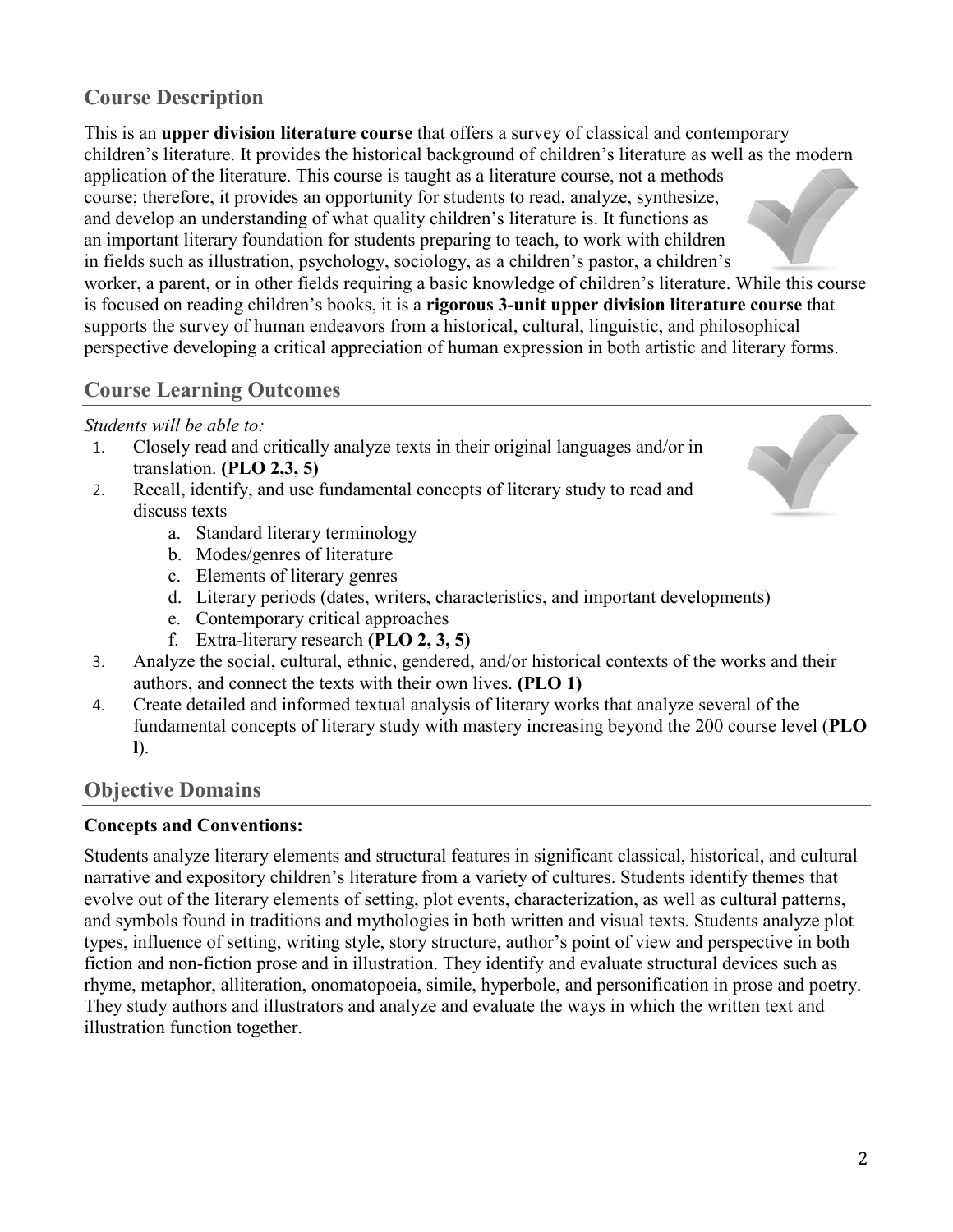# **Course Description**

This is an **upper division literature course** that offers a survey of classical and contemporary children's literature. It provides the historical background of children's literature as well as the modern application of the literature. This course is taught as a literature course, not a methods course; therefore, it provides an opportunity for students to read, analyze, synthesize, and develop an understanding of what quality children's literature is. It functions as an important literary foundation for students preparing to teach, to work with children in fields such as illustration, psychology, sociology, as a children's pastor, a children's worker, a parent, or in other fields requiring a basic knowledge of children's literature. While this course is focused on reading children's books, it is a **rigorous 3-unit upper division literature course** that supports the survey of human endeavors from a historical, cultural, linguistic, and philosophical perspective developing a critical appreciation of human expression in both artistic and literary forms.

### **Course Learning Outcomes**

#### *Students will be able to:*

- 1. Closely read and critically analyze texts in their original languages and/or in translation. **(PLO 2,3, 5)**
- 2. Recall, identify, and use fundamental concepts of literary study to read and discuss texts
	- a. Standard literary terminology
	- b. Modes/genres of literature
	- c. Elements of literary genres
	- d. Literary periods (dates, writers, characteristics, and important developments)
	- e. Contemporary critical approaches
	- f. Extra-literary research **(PLO 2, 3, 5)**
- 3. Analyze the social, cultural, ethnic, gendered, and/or historical contexts of the works and their authors, and connect the texts with their own lives. **(PLO 1)**
- 4. Create detailed and informed textual analysis of literary works that analyze several of the fundamental concepts of literary study with mastery increasing beyond the 200 course level (**PLO l**).

### **Objective Domains**

#### **Concepts and Conventions:**

Students analyze literary elements and structural features in significant classical, historical, and cultural narrative and expository children's literature from a variety of cultures. Students identify themes that evolve out of the literary elements of setting, plot events, characterization, as well as cultural patterns, and symbols found in traditions and mythologies in both written and visual texts. Students analyze plot types, influence of setting, writing style, story structure, author's point of view and perspective in both fiction and non-fiction prose and in illustration. They identify and evaluate structural devices such as rhyme, metaphor, alliteration, onomatopoeia, simile, hyperbole, and personification in prose and poetry. They study authors and illustrators and analyze and evaluate the ways in which the written text and illustration function together.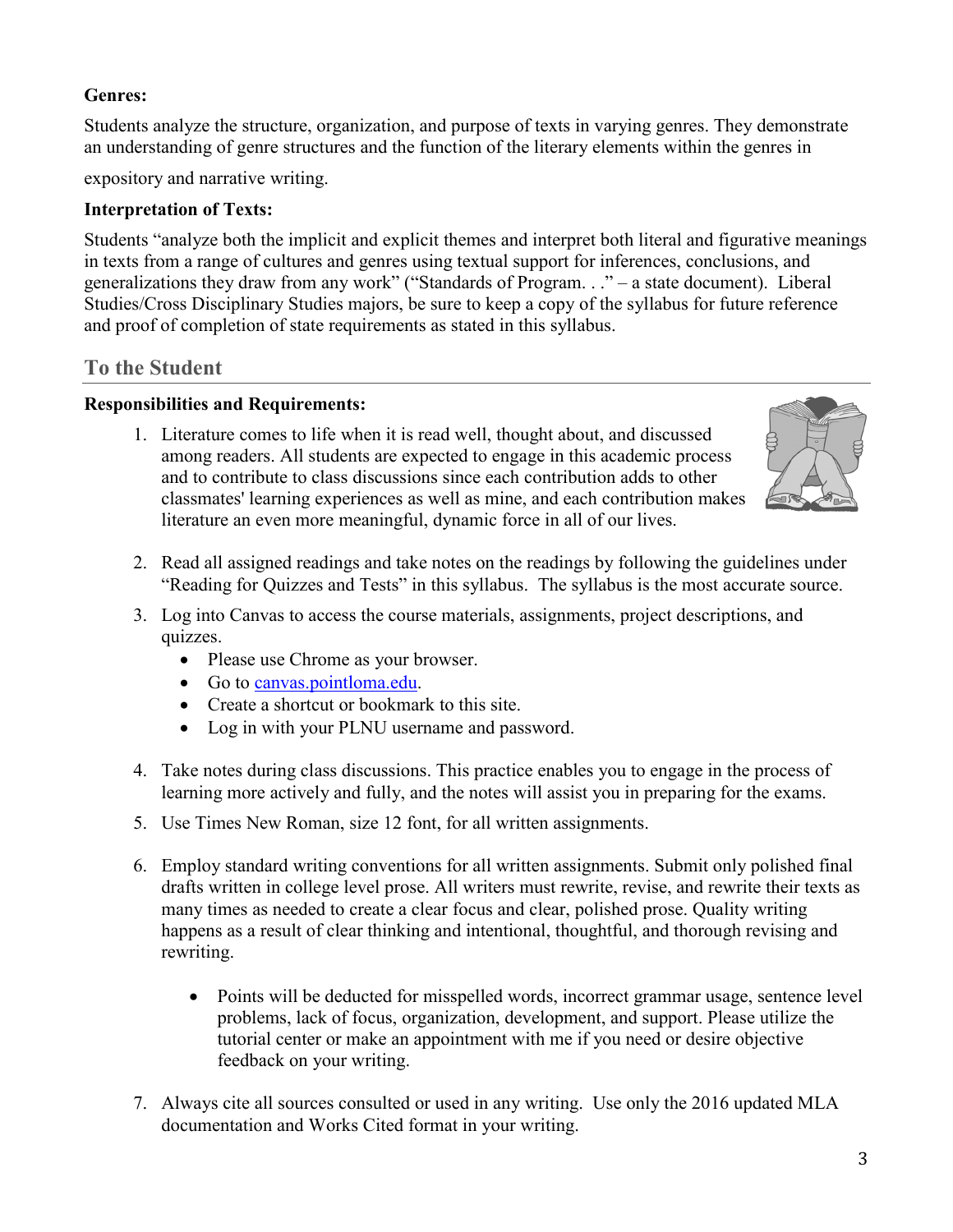### **Genres:**

Students analyze the structure, organization, and purpose of texts in varying genres. They demonstrate an understanding of genre structures and the function of the literary elements within the genres in

expository and narrative writing.

#### **Interpretation of Texts:**

Students "analyze both the implicit and explicit themes and interpret both literal and figurative meanings in texts from a range of cultures and genres using textual support for inferences, conclusions, and generalizations they draw from any work" ("Standards of Program. . ." – a state document). Liberal Studies/Cross Disciplinary Studies majors, be sure to keep a copy of the syllabus for future reference and proof of completion of state requirements as stated in this syllabus.

#### **To the Student**

#### **Responsibilities and Requirements:**

1. Literature comes to life when it is read well, thought about, and discussed among readers. All students are expected to engage in this academic process and to contribute to class discussions since each contribution adds to other classmates' learning experiences as well as mine, and each contribution makes literature an even more meaningful, dynamic force in all of our lives.



- 2. Read all assigned readings and take notes on the readings by following the guidelines under "Reading for Quizzes and Tests" in this syllabus. The syllabus is the most accurate source.
- 3. Log into Canvas to access the course materials, assignments, project descriptions, and quizzes.
	- Please use Chrome as your browser.
	- Go to [canvas.pointloma.edu.](http://canvas.pointloma.edu/)
	- Create a shortcut or bookmark to this site.
	- Log in with your PLNU username and password.
- 4. Take notes during class discussions. This practice enables you to engage in the process of learning more actively and fully, and the notes will assist you in preparing for the exams.
- 5. Use Times New Roman, size 12 font, for all written assignments.
- 6. Employ standard writing conventions for all written assignments. Submit only polished final drafts written in college level prose. All writers must rewrite, revise, and rewrite their texts as many times as needed to create a clear focus and clear, polished prose. Quality writing happens as a result of clear thinking and intentional, thoughtful, and thorough revising and rewriting.
	- Points will be deducted for misspelled words, incorrect grammar usage, sentence level problems, lack of focus, organization, development, and support. Please utilize the tutorial center or make an appointment with me if you need or desire objective feedback on your writing.
- 7. Always cite all sources consulted or used in any writing. Use only the 2016 updated MLA documentation and Works Cited format in your writing.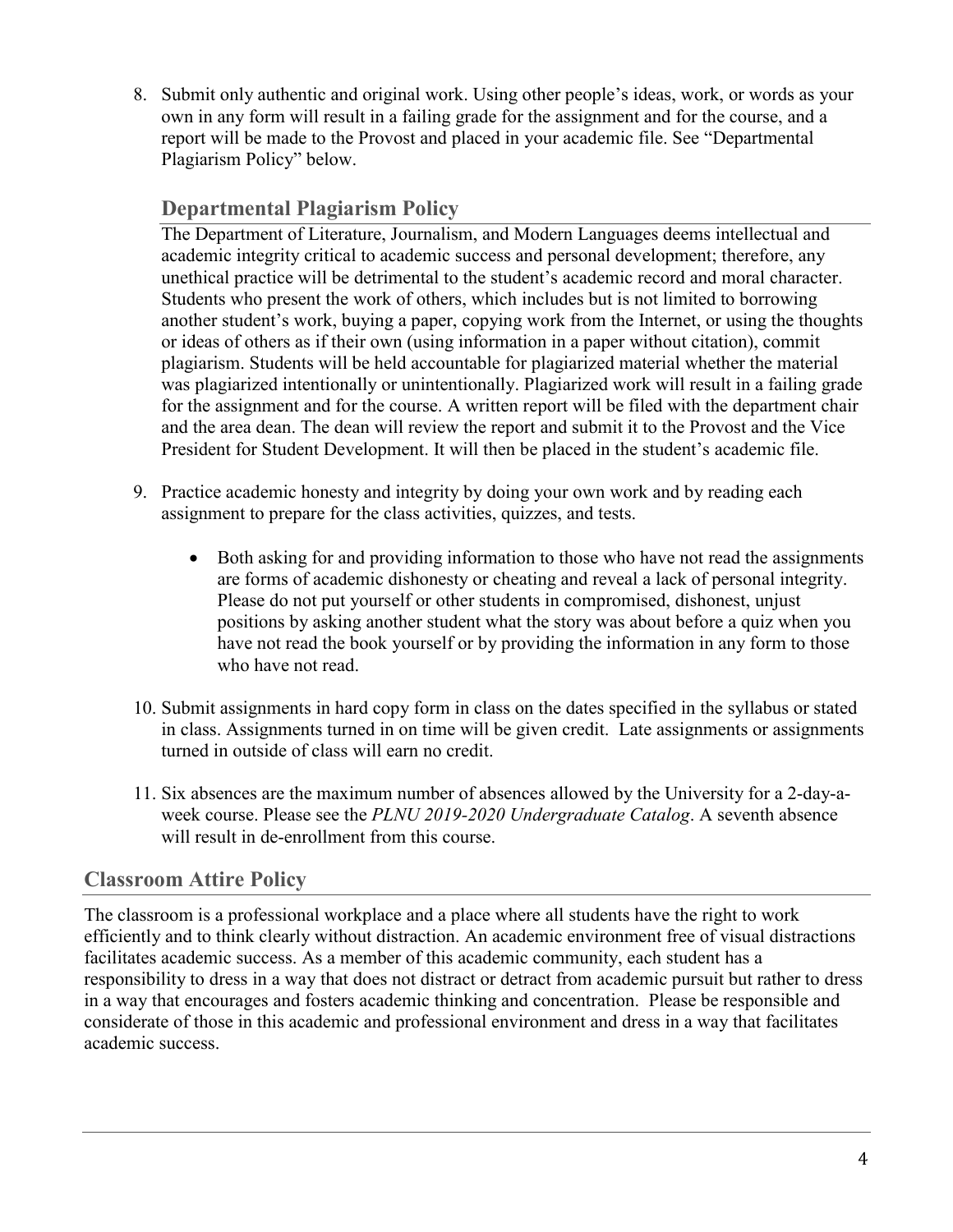8. Submit only authentic and original work. Using other people's ideas, work, or words as your own in any form will result in a failing grade for the assignment and for the course, and a report will be made to the Provost and placed in your academic file. See "Departmental Plagiarism Policy" below.

# **Departmental Plagiarism Policy**

The Department of Literature, Journalism, and Modern Languages deems intellectual and academic integrity critical to academic success and personal development; therefore, any unethical practice will be detrimental to the student's academic record and moral character. Students who present the work of others, which includes but is not limited to borrowing another student's work, buying a paper, copying work from the Internet, or using the thoughts or ideas of others as if their own (using information in a paper without citation), commit plagiarism. Students will be held accountable for plagiarized material whether the material was plagiarized intentionally or unintentionally. Plagiarized work will result in a failing grade for the assignment and for the course. A written report will be filed with the department chair and the area dean. The dean will review the report and submit it to the Provost and the Vice President for Student Development. It will then be placed in the student's academic file.

- 9. Practice academic honesty and integrity by doing your own work and by reading each assignment to prepare for the class activities, quizzes, and tests.
	- Both asking for and providing information to those who have not read the assignments are forms of academic dishonesty or cheating and reveal a lack of personal integrity. Please do not put yourself or other students in compromised, dishonest, unjust positions by asking another student what the story was about before a quiz when you have not read the book yourself or by providing the information in any form to those who have not read.
- 10. Submit assignments in hard copy form in class on the dates specified in the syllabus or stated in class. Assignments turned in on time will be given credit. Late assignments or assignments turned in outside of class will earn no credit.
- 11. Six absences are the maximum number of absences allowed by the University for a 2-day-aweek course. Please see the *PLNU 2019-2020 Undergraduate Catalog*. A seventh absence will result in de-enrollment from this course.

# **Classroom Attire Policy**

The classroom is a professional workplace and a place where all students have the right to work efficiently and to think clearly without distraction. An academic environment free of visual distractions facilitates academic success. As a member of this academic community, each student has a responsibility to dress in a way that does not distract or detract from academic pursuit but rather to dress in a way that encourages and fosters academic thinking and concentration. Please be responsible and considerate of those in this academic and professional environment and dress in a way that facilitates academic success.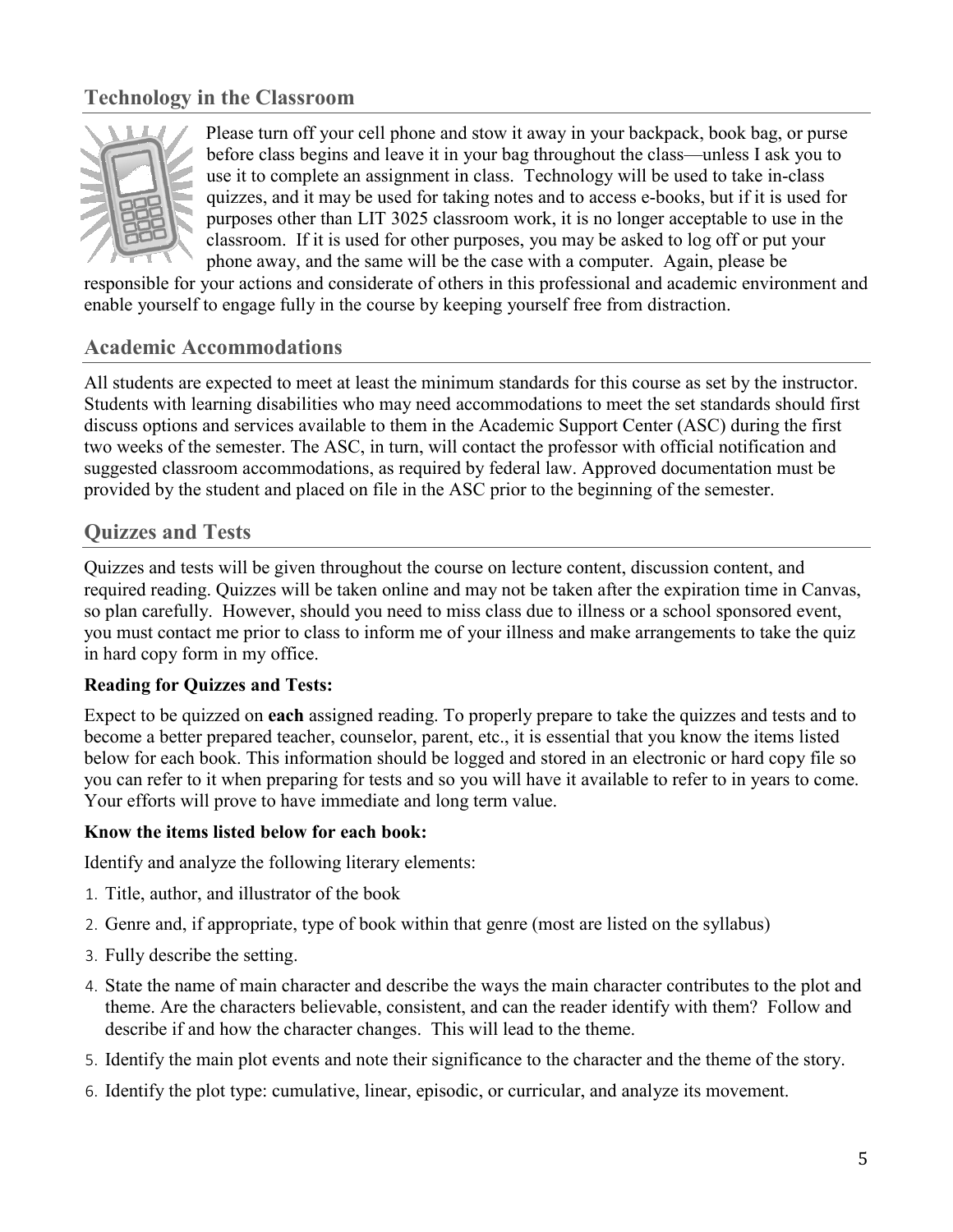# **Technology in the Classroom**



Please turn off your cell phone and stow it away in your backpack, book bag, or purse before class begins and leave it in your bag throughout the class—unless I ask you to use it to complete an assignment in class. Technology will be used to take in-class quizzes, and it may be used for taking notes and to access e-books, but if it is used for purposes other than LIT 3025 classroom work, it is no longer acceptable to use in the classroom. If it is used for other purposes, you may be asked to log off or put your phone away, and the same will be the case with a computer. Again, please be

responsible for your actions and considerate of others in this professional and academic environment and enable yourself to engage fully in the course by keeping yourself free from distraction.

#### **Academic Accommodations**

All students are expected to meet at least the minimum standards for this course as set by the instructor. Students with learning disabilities who may need accommodations to meet the set standards should first discuss options and services available to them in the Academic Support Center (ASC) during the first two weeks of the semester. The ASC, in turn, will contact the professor with official notification and suggested classroom accommodations, as required by federal law. Approved documentation must be provided by the student and placed on file in the ASC prior to the beginning of the semester.

#### **Quizzes and Tests**

Quizzes and tests will be given throughout the course on lecture content, discussion content, and required reading. Quizzes will be taken online and may not be taken after the expiration time in Canvas, so plan carefully. However, should you need to miss class due to illness or a school sponsored event, you must contact me prior to class to inform me of your illness and make arrangements to take the quiz in hard copy form in my office.

#### **Reading for Quizzes and Tests:**

Expect to be quizzed on **each** assigned reading. To properly prepare to take the quizzes and tests and to become a better prepared teacher, counselor, parent, etc., it is essential that you know the items listed below for each book. This information should be logged and stored in an electronic or hard copy file so you can refer to it when preparing for tests and so you will have it available to refer to in years to come. Your efforts will prove to have immediate and long term value.

#### **Know the items listed below for each book:**

Identify and analyze the following literary elements:

- 1. Title, author, and illustrator of the book
- 2. Genre and, if appropriate, type of book within that genre (most are listed on the syllabus)
- 3. Fully describe the setting.
- 4. State the name of main character and describe the ways the main character contributes to the plot and theme. Are the characters believable, consistent, and can the reader identify with them? Follow and describe if and how the character changes. This will lead to the theme.
- 5. Identify the main plot events and note their significance to the character and the theme of the story.
- 6. Identify the plot type: cumulative, linear, episodic, or curricular, and analyze its movement.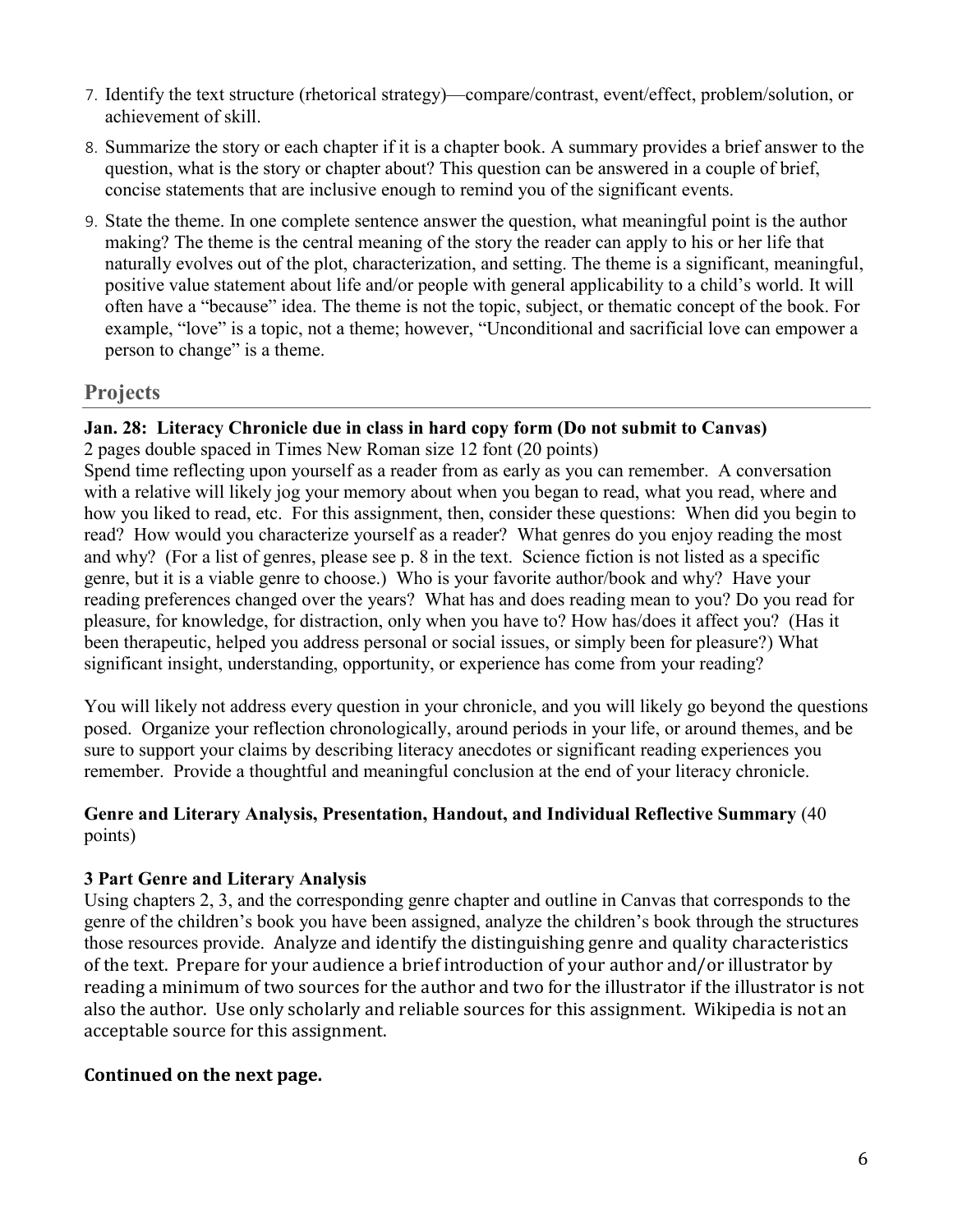- 7. Identify the text structure (rhetorical strategy)—compare/contrast, event/effect, problem/solution, or achievement of skill.
- 8. Summarize the story or each chapter if it is a chapter book. A summary provides a brief answer to the question, what is the story or chapter about? This question can be answered in a couple of brief, concise statements that are inclusive enough to remind you of the significant events.
- 9. State the theme. In one complete sentence answer the question, what meaningful point is the author making? The theme is the central meaning of the story the reader can apply to his or her life that naturally evolves out of the plot, characterization, and setting. The theme is a significant, meaningful, positive value statement about life and/or people with general applicability to a child's world. It will often have a "because" idea. The theme is not the topic, subject, or thematic concept of the book. For example, "love" is a topic, not a theme; however, "Unconditional and sacrificial love can empower a person to change" is a theme.

### **Projects**

### **Jan. 28: Literacy Chronicle due in class in hard copy form (Do not submit to Canvas)**

2 pages double spaced in Times New Roman size 12 font (20 points)

Spend time reflecting upon yourself as a reader from as early as you can remember. A conversation with a relative will likely jog your memory about when you began to read, what you read, where and how you liked to read, etc. For this assignment, then, consider these questions: When did you begin to read? How would you characterize yourself as a reader? What genres do you enjoy reading the most and why? (For a list of genres, please see p. 8 in the text. Science fiction is not listed as a specific genre, but it is a viable genre to choose.) Who is your favorite author/book and why? Have your reading preferences changed over the years? What has and does reading mean to you? Do you read for pleasure, for knowledge, for distraction, only when you have to? How has/does it affect you? (Has it been therapeutic, helped you address personal or social issues, or simply been for pleasure?) What significant insight, understanding, opportunity, or experience has come from your reading?

You will likely not address every question in your chronicle, and you will likely go beyond the questions posed. Organize your reflection chronologically, around periods in your life, or around themes, and be sure to support your claims by describing literacy anecdotes or significant reading experiences you remember. Provide a thoughtful and meaningful conclusion at the end of your literacy chronicle.

#### **Genre and Literary Analysis, Presentation, Handout, and Individual Reflective Summary** (40 points)

#### **3 Part Genre and Literary Analysis**

Using chapters 2, 3, and the corresponding genre chapter and outline in Canvas that corresponds to the genre of the children's book you have been assigned, analyze the children's book through the structures those resources provide. Analyze and identify the distinguishing genre and quality characteristics of the text. Prepare for your audience a brief introduction of your author and/or illustrator by reading a minimum of two sources for the author and two for the illustrator if the illustrator is not also the author. Use only scholarly and reliable sources for this assignment. Wikipedia is not an acceptable source for this assignment.

#### **Continued on the next page.**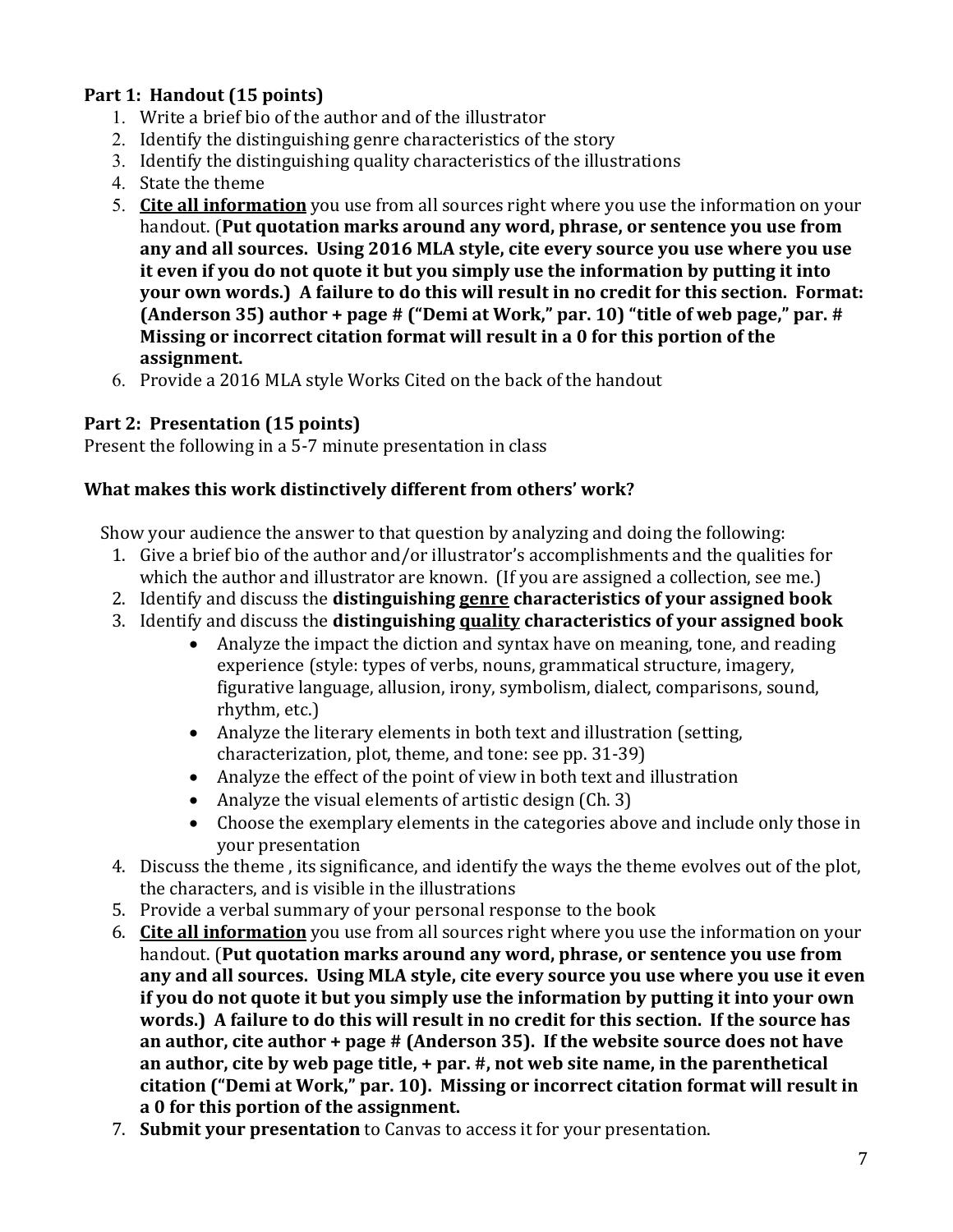### **Part 1: Handout (15 points)**

- 1. Write a brief bio of the author and of the illustrator
- 2. Identify the distinguishing genre characteristics of the story
- 3. Identify the distinguishing quality characteristics of the illustrations
- 4. State the theme
- 5. **Cite all information** you use from all sources right where you use the information on your handout. (**Put quotation marks around any word, phrase, or sentence you use from any and all sources. Using 2016 MLA style, cite every source you use where you use it even if you do not quote it but you simply use the information by putting it into your own words.) A failure to do this will result in no credit for this section. Format: (Anderson 35) author + page # ("Demi at Work," par. 10) "title of web page," par. # Missing or incorrect citation format will result in a 0 for this portion of the assignment.**
- 6. Provide a 2016 MLA style Works Cited on the back of the handout

#### **Part 2: Presentation (15 points)**

Present the following in a 5-7 minute presentation in class

#### **What makes this work distinctively different from others' work?**

Show your audience the answer to that question by analyzing and doing the following:

- 1. Give a brief bio of the author and/or illustrator's accomplishments and the qualities for which the author and illustrator are known. (If you are assigned a collection, see me.)
- 2. Identify and discuss the **distinguishing genre characteristics of your assigned book**
- 3. Identify and discuss the **distinguishing quality characteristics of your assigned book**
	- Analyze the impact the diction and syntax have on meaning, tone, and reading experience (style: types of verbs, nouns, grammatical structure, imagery, figurative language, allusion, irony, symbolism, dialect, comparisons, sound, rhythm, etc.)
	- Analyze the literary elements in both text and illustration (setting, characterization, plot, theme, and tone: see pp. 31-39)
	- Analyze the effect of the point of view in both text and illustration
	- Analyze the visual elements of artistic design (Ch. 3)
	- Choose the exemplary elements in the categories above and include only those in your presentation
- 4. Discuss the theme , its significance, and identify the ways the theme evolves out of the plot, the characters, and is visible in the illustrations
- 5. Provide a verbal summary of your personal response to the book
- 6. **Cite all information** you use from all sources right where you use the information on your handout. (**Put quotation marks around any word, phrase, or sentence you use from any and all sources. Using MLA style, cite every source you use where you use it even if you do not quote it but you simply use the information by putting it into your own words.) A failure to do this will result in no credit for this section. If the source has an author, cite author + page # (Anderson 35). If the website source does not have an author, cite by web page title, + par. #, not web site name, in the parenthetical citation ("Demi at Work," par. 10). Missing or incorrect citation format will result in a 0 for this portion of the assignment.**
- 7. **Submit your presentation** to Canvas to access it for your presentation.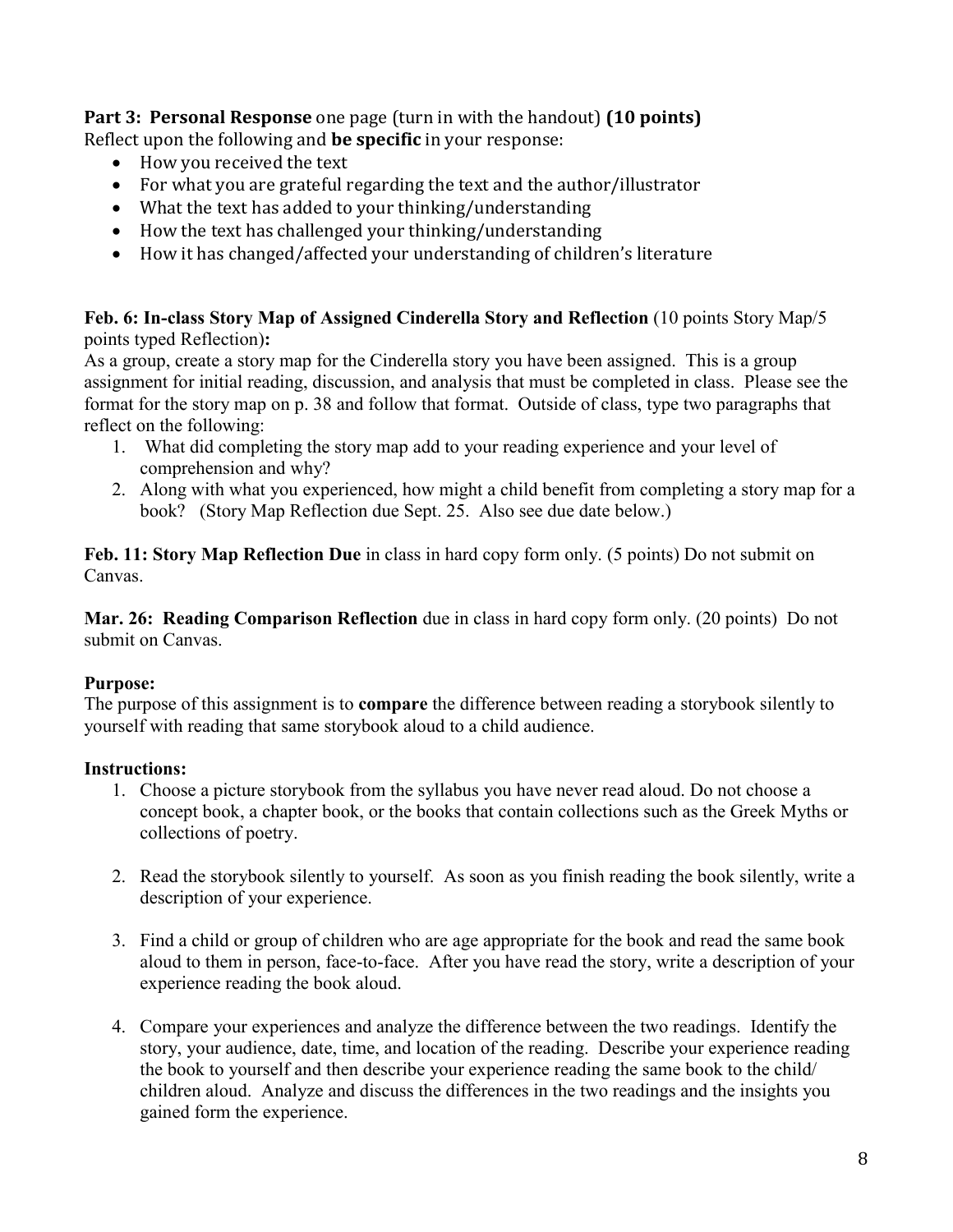**Part 3: Personal Response** one page (turn in with the handout) **(10 points)** Reflect upon the following and **be specific** in your response:

- How you received the text
- For what you are grateful regarding the text and the author/illustrator
- What the text has added to your thinking/understanding
- How the text has challenged your thinking/understanding
- How it has changed/affected your understanding of children's literature

**Feb. 6: In-class Story Map of Assigned Cinderella Story and Reflection** (10 points Story Map/5 points typed Reflection)**:**

As a group, create a story map for the Cinderella story you have been assigned. This is a group assignment for initial reading, discussion, and analysis that must be completed in class. Please see the format for the story map on p. 38 and follow that format. Outside of class, type two paragraphs that reflect on the following:

- 1. What did completing the story map add to your reading experience and your level of comprehension and why?
- 2. Along with what you experienced, how might a child benefit from completing a story map for a book? (Story Map Reflection due Sept. 25. Also see due date below.)

**Feb. 11: Story Map Reflection Due** in class in hard copy form only. (5 points) Do not submit on Canvas.

**Mar. 26: Reading Comparison Reflection** due in class in hard copy form only. (20 points) Do not submit on Canvas.

#### **Purpose:**

The purpose of this assignment is to **compare** the difference between reading a storybook silently to yourself with reading that same storybook aloud to a child audience.

#### **Instructions:**

- 1. Choose a picture storybook from the syllabus you have never read aloud. Do not choose a concept book, a chapter book, or the books that contain collections such as the Greek Myths or collections of poetry.
- 2. Read the storybook silently to yourself. As soon as you finish reading the book silently, write a description of your experience.
- 3. Find a child or group of children who are age appropriate for the book and read the same book aloud to them in person, face-to-face. After you have read the story, write a description of your experience reading the book aloud.
- 4. Compare your experiences and analyze the difference between the two readings. Identify the story, your audience, date, time, and location of the reading. Describe your experience reading the book to yourself and then describe your experience reading the same book to the child/ children aloud. Analyze and discuss the differences in the two readings and the insights you gained form the experience.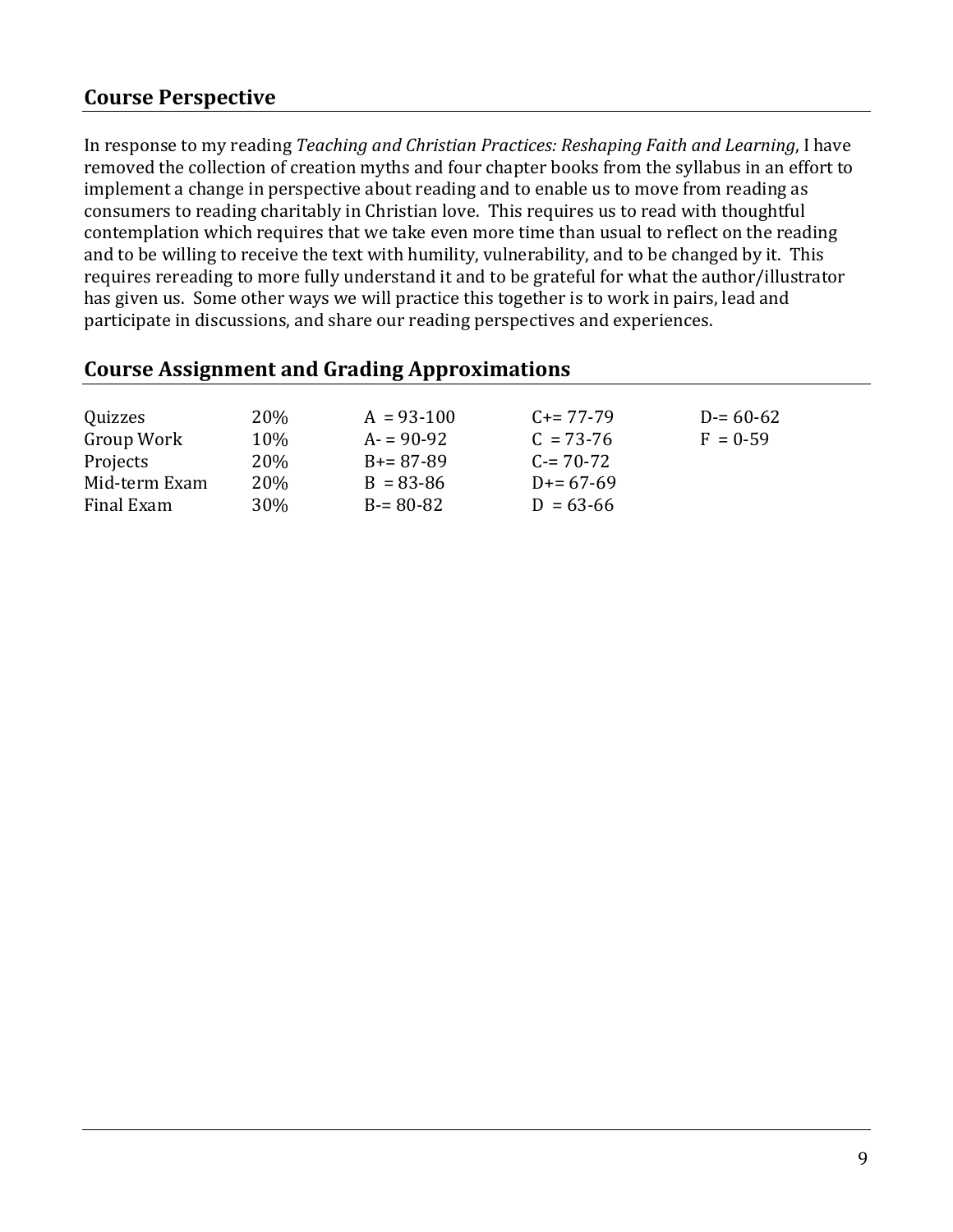## **Course Perspective**

In response to my reading *Teaching and Christian Practices: Reshaping Faith and Learning*, I have removed the collection of creation myths and four chapter books from the syllabus in an effort to implement a change in perspective about reading and to enable us to move from reading as consumers to reading charitably in Christian love. This requires us to read with thoughtful contemplation which requires that we take even more time than usual to reflect on the reading and to be willing to receive the text with humility, vulnerability, and to be changed by it. This requires rereading to more fully understand it and to be grateful for what the author/illustrator has given us. Some other ways we will practice this together is to work in pairs, lead and participate in discussions, and share our reading perspectives and experiences.

| . .           |            | $\mathbf{C}$ . The set of $\mathbf{L}$ |               |               |  |
|---------------|------------|----------------------------------------|---------------|---------------|--|
|               |            |                                        |               |               |  |
| Quizzes       | <b>20%</b> | $A = 93-100$                           | $C+=77-79$    | $D = 60 - 62$ |  |
| Group Work    | 10%        | $A = 90-92$                            | $C = 73-76$   | $F = 0.59$    |  |
| Projects      | 20%        | $B = 87 - 89$                          | $C = 70-72$   |               |  |
| Mid-term Exam | 20%        | $B = 83 - 86$                          | $D = 67-69$   |               |  |
| Final Exam    | <b>30%</b> | $B = 80 - 82$                          | $D = 63 - 66$ |               |  |
|               |            |                                        |               |               |  |

### **Course Assignment and Grading Approximations**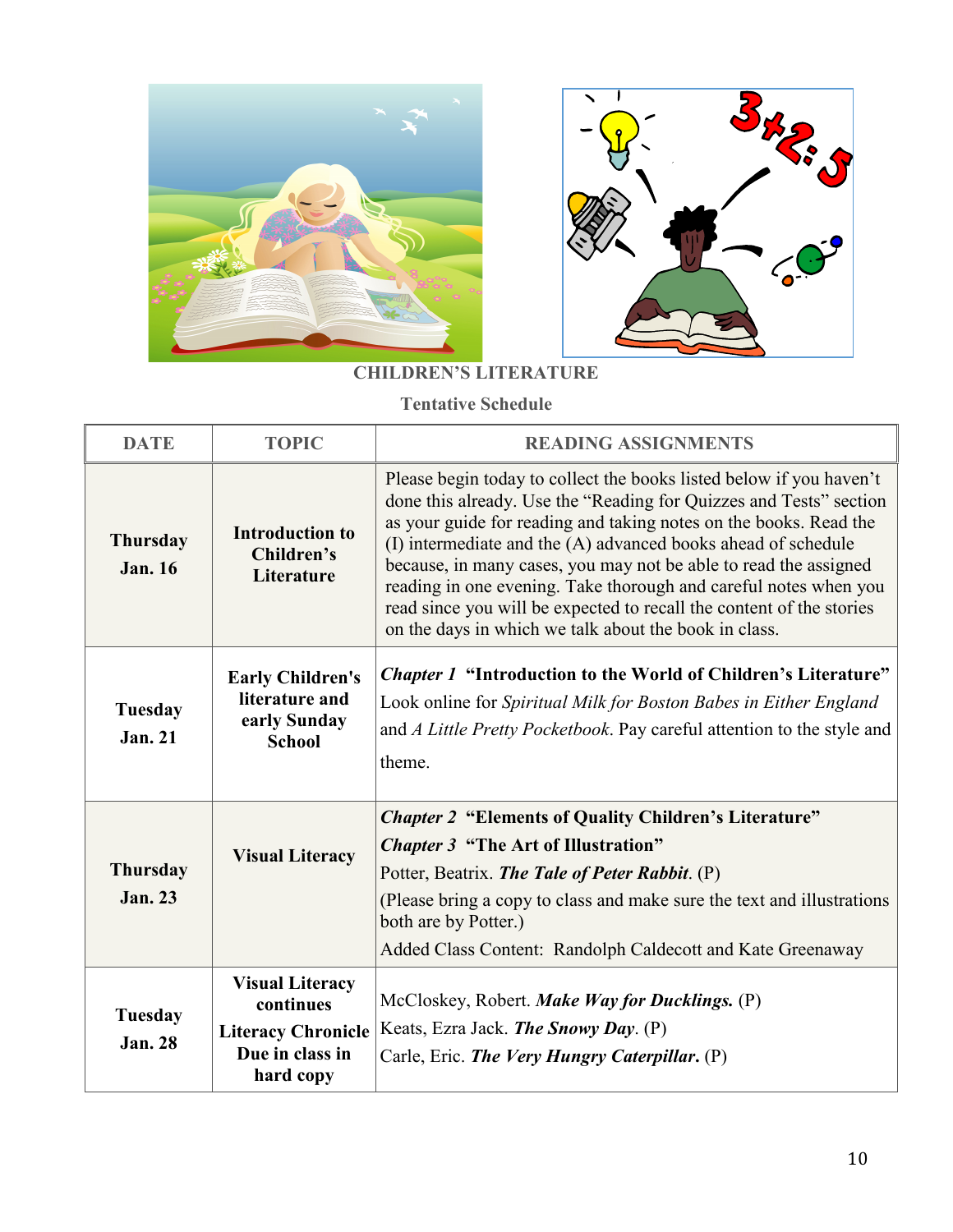



# **CHILDREN'S LITERATURE**

**Tentative Schedule**

| <b>DATE</b>                       | <b>TOPIC</b>                                                                                     | <b>READING ASSIGNMENTS</b>                                                                                                                                                                                                                                                                                                                                                                                                                                                                                                                               |
|-----------------------------------|--------------------------------------------------------------------------------------------------|----------------------------------------------------------------------------------------------------------------------------------------------------------------------------------------------------------------------------------------------------------------------------------------------------------------------------------------------------------------------------------------------------------------------------------------------------------------------------------------------------------------------------------------------------------|
| <b>Thursday</b><br><b>Jan. 16</b> | <b>Introduction to</b><br>Children's<br>Literature                                               | Please begin today to collect the books listed below if you haven't<br>done this already. Use the "Reading for Quizzes and Tests" section<br>as your guide for reading and taking notes on the books. Read the<br>(I) intermediate and the (A) advanced books ahead of schedule<br>because, in many cases, you may not be able to read the assigned<br>reading in one evening. Take thorough and careful notes when you<br>read since you will be expected to recall the content of the stories<br>on the days in which we talk about the book in class. |
| Tuesday<br><b>Jan. 21</b>         | <b>Early Children's</b><br>literature and<br>early Sunday<br><b>School</b>                       | <i>Chapter 1</i> "Introduction to the World of Children's Literature"<br>Look online for Spiritual Milk for Boston Babes in Either England<br>and A Little Pretty Pocketbook. Pay careful attention to the style and<br>theme.                                                                                                                                                                                                                                                                                                                           |
| <b>Thursday</b><br><b>Jan. 23</b> | <b>Visual Literacy</b>                                                                           | <b>Chapter 2 "Elements of Quality Children's Literature"</b><br><b>Chapter 3 "The Art of Illustration"</b><br>Potter, Beatrix. The Tale of Peter Rabbit. (P)<br>(Please bring a copy to class and make sure the text and illustrations<br>both are by Potter.)<br>Added Class Content: Randolph Caldecott and Kate Greenaway                                                                                                                                                                                                                             |
| <b>Tuesday</b><br><b>Jan. 28</b>  | <b>Visual Literacy</b><br>continues<br><b>Literacy Chronicle</b><br>Due in class in<br>hard copy | McCloskey, Robert. Make Way for Ducklings. (P)<br>Keats, Ezra Jack. The Snowy Day. (P)<br>Carle, Eric. The Very Hungry Caterpillar. (P)                                                                                                                                                                                                                                                                                                                                                                                                                  |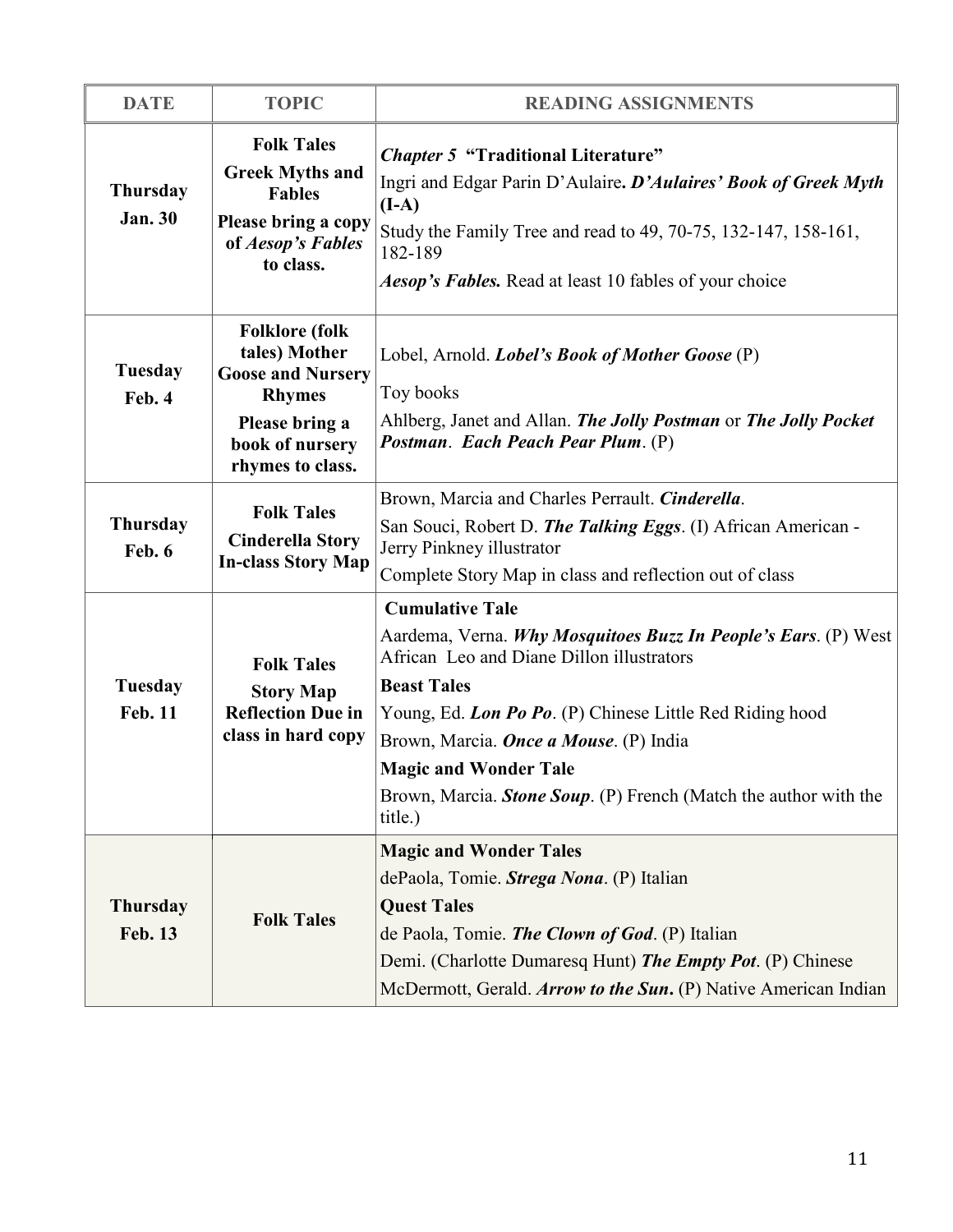| <b>DATE</b>                       | <b>TOPIC</b>                                                                                                                                 | <b>READING ASSIGNMENTS</b>                                                                                                                                                                                                                                                                                                                                                               |
|-----------------------------------|----------------------------------------------------------------------------------------------------------------------------------------------|------------------------------------------------------------------------------------------------------------------------------------------------------------------------------------------------------------------------------------------------------------------------------------------------------------------------------------------------------------------------------------------|
| <b>Thursday</b><br><b>Jan. 30</b> | <b>Folk Tales</b><br><b>Greek Myths and</b><br><b>Fables</b><br>Please bring a copy<br>of Aesop's Fables<br>to class.                        | <b>Chapter 5 "Traditional Literature"</b><br>Ingri and Edgar Parin D'Aulaire. D'Aulaires' Book of Greek Myth<br>$(I-A)$<br>Study the Family Tree and read to 49, 70-75, 132-147, 158-161,<br>182-189<br><i>Aesop's Fables.</i> Read at least 10 fables of your choice                                                                                                                    |
| <b>Tuesday</b><br>Feb. 4          | <b>Folklore</b> (folk<br>tales) Mother<br><b>Goose and Nursery</b><br><b>Rhymes</b><br>Please bring a<br>book of nursery<br>rhymes to class. | Lobel, Arnold. <i>Lobel's Book of Mother Goose</i> (P)<br>Toy books<br>Ahlberg, Janet and Allan. The Jolly Postman or The Jolly Pocket<br>Postman. Each Peach Pear Plum. (P)                                                                                                                                                                                                             |
| <b>Thursday</b><br>Feb. 6         | <b>Folk Tales</b><br><b>Cinderella Story</b><br><b>In-class Story Map</b>                                                                    | Brown, Marcia and Charles Perrault. Cinderella.<br>San Souci, Robert D. The Talking Eggs. (I) African American -<br>Jerry Pinkney illustrator<br>Complete Story Map in class and reflection out of class                                                                                                                                                                                 |
| <b>Tuesday</b><br><b>Feb. 11</b>  | <b>Folk Tales</b><br><b>Story Map</b><br><b>Reflection Due in</b><br>class in hard copy                                                      | <b>Cumulative Tale</b><br>Aardema, Verna. Why Mosquitoes Buzz In People's Ears. (P) West<br>African Leo and Diane Dillon illustrators<br><b>Beast Tales</b><br>Young, Ed. Lon Po Po. (P) Chinese Little Red Riding hood<br>Brown, Marcia. <i>Once a Mouse</i> . (P) India<br><b>Magic and Wonder Tale</b><br>Brown, Marcia. Stone Soup. (P) French (Match the author with the<br>title.) |
| <b>Thursday</b><br><b>Feb. 13</b> | <b>Folk Tales</b>                                                                                                                            | <b>Magic and Wonder Tales</b><br>dePaola, Tomie. Strega Nona. (P) Italian<br><b>Quest Tales</b><br>de Paola, Tomie. The Clown of God. (P) Italian<br>Demi. (Charlotte Dumaresq Hunt) The Empty Pot. (P) Chinese<br>McDermott, Gerald. Arrow to the Sun. (P) Native American Indian                                                                                                       |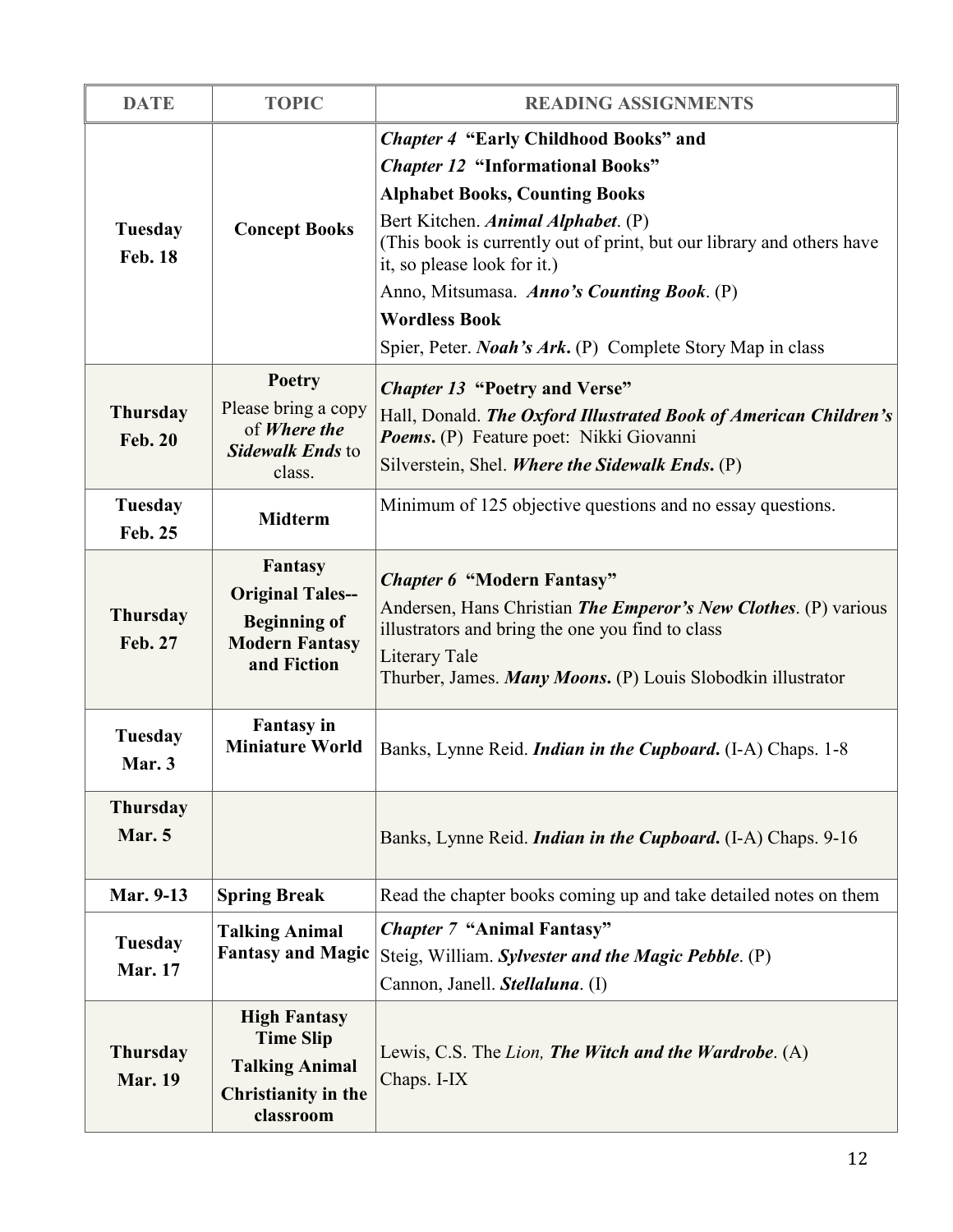| <b>DATE</b>                       | <b>TOPIC</b>                                                                                             | <b>READING ASSIGNMENTS</b>                                                                                                                                                                                                                                                                                                                                                                                                |
|-----------------------------------|----------------------------------------------------------------------------------------------------------|---------------------------------------------------------------------------------------------------------------------------------------------------------------------------------------------------------------------------------------------------------------------------------------------------------------------------------------------------------------------------------------------------------------------------|
| Tuesday<br><b>Feb. 18</b>         | <b>Concept Books</b>                                                                                     | <b>Chapter 4 "Early Childhood Books" and</b><br><b>Chapter 12 "Informational Books"</b><br><b>Alphabet Books, Counting Books</b><br>Bert Kitchen. Animal Alphabet. (P)<br>(This book is currently out of print, but our library and others have<br>it, so please look for it.)<br>Anno, Mitsumasa. Anno's Counting Book. (P)<br><b>Wordless Book</b><br>Spier, Peter. <i>Noah's Ark</i> . (P) Complete Story Map in class |
| <b>Thursday</b><br><b>Feb. 20</b> | Poetry<br>Please bring a copy<br>of Where the<br>Sidewalk Ends to<br>class.                              | <b>Chapter 13 "Poetry and Verse"</b><br>Hall, Donald. The Oxford Illustrated Book of American Children's<br>Poems. (P) Feature poet: Nikki Giovanni<br>Silverstein, Shel. Where the Sidewalk Ends. (P)                                                                                                                                                                                                                    |
| Tuesday<br><b>Feb. 25</b>         | <b>Midterm</b>                                                                                           | Minimum of 125 objective questions and no essay questions.                                                                                                                                                                                                                                                                                                                                                                |
| <b>Thursday</b><br>Feb. 27        | <b>Fantasy</b><br><b>Original Tales--</b><br><b>Beginning of</b><br><b>Modern Fantasy</b><br>and Fiction | <b>Chapter 6 "Modern Fantasy"</b><br>Andersen, Hans Christian <i>The Emperor's New Clothes</i> . (P) various<br>illustrators and bring the one you find to class<br>Literary Tale<br>Thurber, James. Many Moons. (P) Louis Slobodkin illustrator                                                                                                                                                                          |
| Tuesday<br>Mar. 3                 | <b>Fantasy</b> in<br><b>Miniature World</b>                                                              | Banks, Lynne Reid. <i>Indian in the Cupboard</i> . (I-A) Chaps. 1-8                                                                                                                                                                                                                                                                                                                                                       |
| <b>Thursday</b><br>Mar. 5         |                                                                                                          | Banks, Lynne Reid. <i>Indian in the Cupboard</i> . (I-A) Chaps. 9-16                                                                                                                                                                                                                                                                                                                                                      |
| <b>Mar. 9-13</b>                  | <b>Spring Break</b>                                                                                      | Read the chapter books coming up and take detailed notes on them                                                                                                                                                                                                                                                                                                                                                          |
| Tuesday<br><b>Mar. 17</b>         | <b>Talking Animal</b><br><b>Fantasy and Magic</b>                                                        | <b>Chapter 7 "Animal Fantasy"</b><br>Steig, William. Sylvester and the Magic Pebble. (P)<br>Cannon, Janell. Stellaluna. (I)                                                                                                                                                                                                                                                                                               |
| <b>Thursday</b><br><b>Mar. 19</b> | <b>High Fantasy</b><br><b>Time Slip</b><br><b>Talking Animal</b><br>Christianity in the<br>classroom     | Lewis, C.S. The Lion, The Witch and the Wardrobe. (A)<br>Chaps. I-IX                                                                                                                                                                                                                                                                                                                                                      |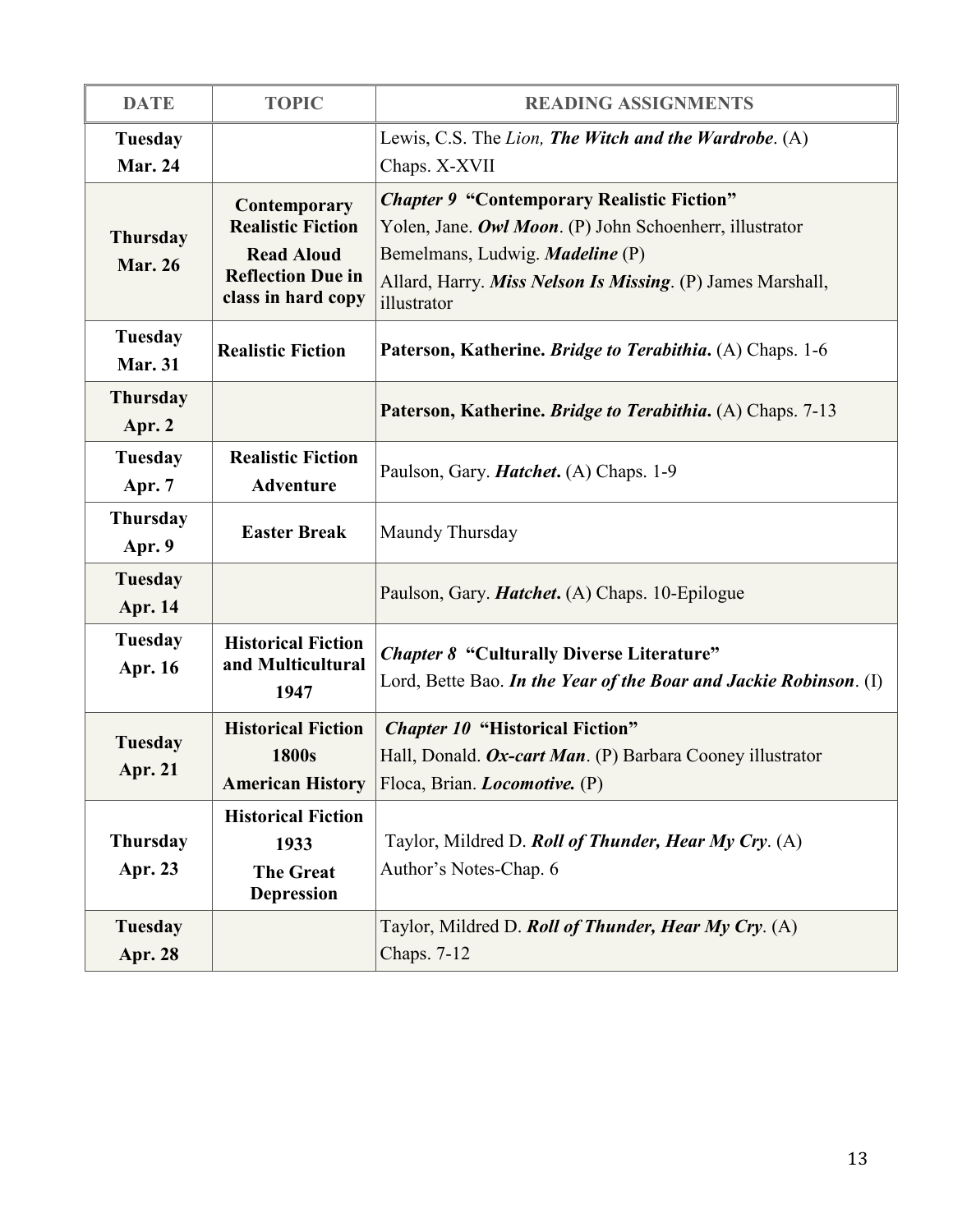| <b>DATE</b>                       | <b>TOPIC</b>                                                                                                    | <b>READING ASSIGNMENTS</b>                                                                                                                                                                                                          |
|-----------------------------------|-----------------------------------------------------------------------------------------------------------------|-------------------------------------------------------------------------------------------------------------------------------------------------------------------------------------------------------------------------------------|
| <b>Tuesday</b><br><b>Mar. 24</b>  |                                                                                                                 | Lewis, C.S. The Lion, The Witch and the Wardrobe. (A)<br>Chaps. X-XVII                                                                                                                                                              |
| <b>Thursday</b><br><b>Mar. 26</b> | Contemporary<br><b>Realistic Fiction</b><br><b>Read Aloud</b><br><b>Reflection Due in</b><br>class in hard copy | <b>Chapter 9 "Contemporary Realistic Fiction"</b><br>Yolen, Jane. Owl Moon. (P) John Schoenherr, illustrator<br>Bemelmans, Ludwig. <i>Madeline</i> (P)<br>Allard, Harry. Miss Nelson Is Missing. (P) James Marshall,<br>illustrator |
| Tuesday<br><b>Mar. 31</b>         | <b>Realistic Fiction</b>                                                                                        | Paterson, Katherine. Bridge to Terabithia. (A) Chaps. 1-6                                                                                                                                                                           |
| <b>Thursday</b><br>Apr. 2         |                                                                                                                 | Paterson, Katherine. Bridge to Terabithia. (A) Chaps. 7-13                                                                                                                                                                          |
| Tuesday<br>Apr. 7                 | <b>Realistic Fiction</b><br><b>Adventure</b>                                                                    | Paulson, Gary. <i>Hatchet</i> . (A) Chaps. 1-9                                                                                                                                                                                      |
| <b>Thursday</b><br>Apr. 9         | <b>Easter Break</b>                                                                                             | Maundy Thursday                                                                                                                                                                                                                     |
| <b>Tuesday</b><br><b>Apr. 14</b>  |                                                                                                                 | Paulson, Gary. <i>Hatchet</i> . (A) Chaps. 10-Epilogue                                                                                                                                                                              |
| Tuesday<br>Apr. 16                | <b>Historical Fiction</b><br>and Multicultural<br>1947                                                          | <b>Chapter 8 "Culturally Diverse Literature"</b><br>Lord, Bette Bao. In the Year of the Boar and Jackie Robinson. (I)                                                                                                               |
| <b>Tuesday</b><br><b>Apr. 21</b>  | <b>Historical Fiction</b><br>1800s<br><b>American History</b>                                                   | <b>Chapter 10 "Historical Fiction"</b><br>Hall, Donald. Ox-cart Man. (P) Barbara Cooney illustrator<br>Floca, Brian. <i>Locomotive.</i> (P)                                                                                         |
| <b>Thursday</b><br>Apr. 23        | <b>Historical Fiction</b><br>1933<br><b>The Great</b><br><b>Depression</b>                                      | Taylor, Mildred D. Roll of Thunder, Hear My Cry. (A)<br>Author's Notes-Chap. 6                                                                                                                                                      |
| Tuesday<br><b>Apr. 28</b>         |                                                                                                                 | Taylor, Mildred D. Roll of Thunder, Hear My Cry. (A)<br>Chaps. 7-12                                                                                                                                                                 |